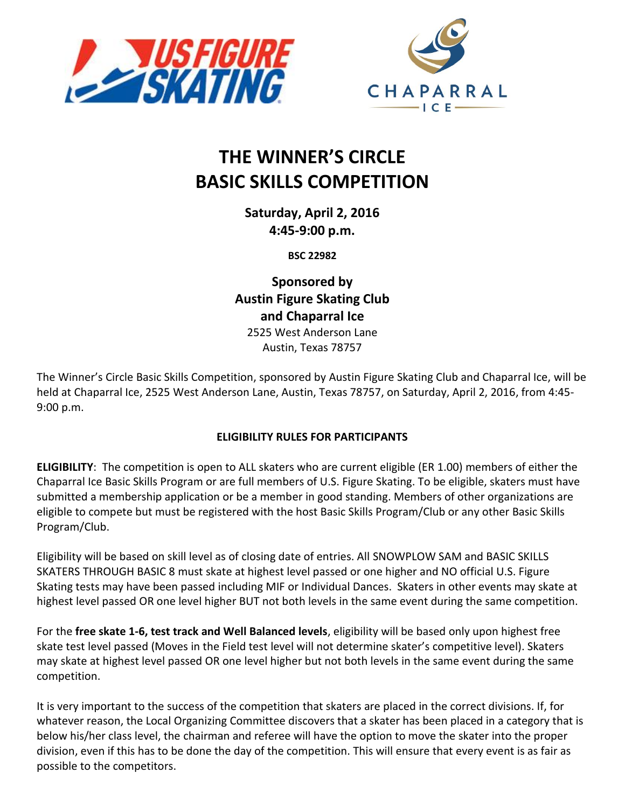



# **THE WINNER'S CIRCLE BASIC SKILLS COMPETITION**

**Saturday, April 2, 2016 4:45-9:00 p.m.**

**BSC 22982**

**Sponsored by Austin Figure Skating Club and Chaparral Ice**

2525 West Anderson Lane Austin, Texas 78757

The Winner's Circle Basic Skills Competition, sponsored by Austin Figure Skating Club and Chaparral Ice, will be held at Chaparral Ice, 2525 West Anderson Lane, Austin, Texas 78757, on Saturday, April 2, 2016, from 4:45- 9:00 p.m.

# **ELIGIBILITY RULES FOR PARTICIPANTS**

**ELIGIBILITY**: The competition is open to ALL skaters who are current eligible (ER 1.00) members of either the Chaparral Ice Basic Skills Program or are full members of U.S. Figure Skating. To be eligible, skaters must have submitted a membership application or be a member in good standing. Members of other organizations are eligible to compete but must be registered with the host Basic Skills Program/Club or any other Basic Skills Program/Club.

Eligibility will be based on skill level as of closing date of entries. All SNOWPLOW SAM and BASIC SKILLS SKATERS THROUGH BASIC 8 must skate at highest level passed or one higher and NO official U.S. Figure Skating tests may have been passed including MIF or Individual Dances. Skaters in other events may skate at highest level passed OR one level higher BUT not both levels in the same event during the same competition.

For the **free skate 1-6, test track and Well Balanced levels**, eligibility will be based only upon highest free skate test level passed (Moves in the Field test level will not determine skater's competitive level). Skaters may skate at highest level passed OR one level higher but not both levels in the same event during the same competition.

It is very important to the success of the competition that skaters are placed in the correct divisions. If, for whatever reason, the Local Organizing Committee discovers that a skater has been placed in a category that is below his/her class level, the chairman and referee will have the option to move the skater into the proper division, even if this has to be done the day of the competition. This will ensure that every event is as fair as possible to the competitors.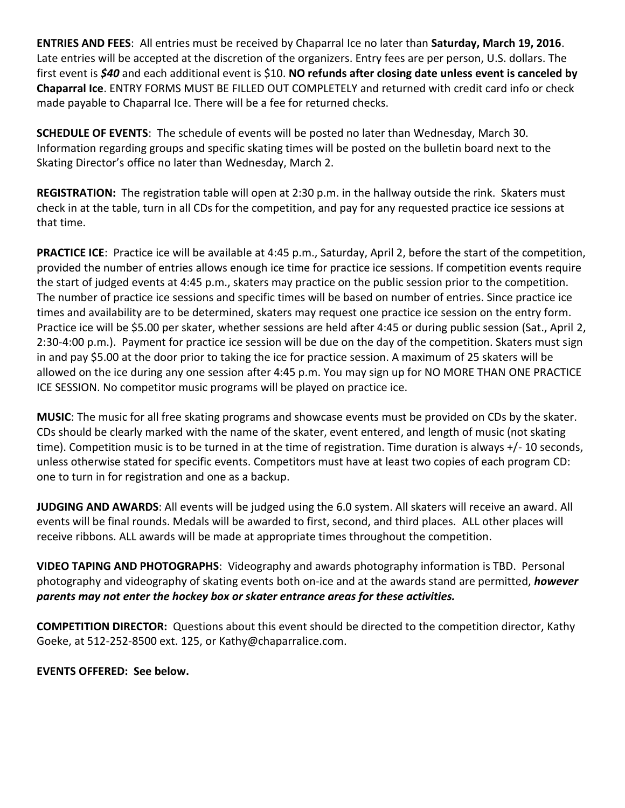**ENTRIES AND FEES**: All entries must be received by Chaparral Ice no later than **Saturday, March 19, 2016**. Late entries will be accepted at the discretion of the organizers. Entry fees are per person, U.S. dollars. The first event is *\$40* and each additional event is \$10. **NO refunds after closing date unless event is canceled by Chaparral Ice**. ENTRY FORMS MUST BE FILLED OUT COMPLETELY and returned with credit card info or check made payable to Chaparral Ice. There will be a fee for returned checks.

**SCHEDULE OF EVENTS**: The schedule of events will be posted no later than Wednesday, March 30. Information regarding groups and specific skating times will be posted on the bulletin board next to the Skating Director's office no later than Wednesday, March 2.

**REGISTRATION:** The registration table will open at 2:30 p.m. in the hallway outside the rink. Skaters must check in at the table, turn in all CDs for the competition, and pay for any requested practice ice sessions at that time.

**PRACTICE ICE**: Practice ice will be available at 4:45 p.m., Saturday, April 2, before the start of the competition, provided the number of entries allows enough ice time for practice ice sessions. If competition events require the start of judged events at 4:45 p.m., skaters may practice on the public session prior to the competition. The number of practice ice sessions and specific times will be based on number of entries. Since practice ice times and availability are to be determined, skaters may request one practice ice session on the entry form. Practice ice will be \$5.00 per skater, whether sessions are held after 4:45 or during public session (Sat., April 2, 2:30-4:00 p.m.). Payment for practice ice session will be due on the day of the competition. Skaters must sign in and pay \$5.00 at the door prior to taking the ice for practice session. A maximum of 25 skaters will be allowed on the ice during any one session after 4:45 p.m. You may sign up for NO MORE THAN ONE PRACTICE ICE SESSION. No competitor music programs will be played on practice ice.

**MUSIC**: The music for all free skating programs and showcase events must be provided on CDs by the skater. CDs should be clearly marked with the name of the skater, event entered, and length of music (not skating time). Competition music is to be turned in at the time of registration. Time duration is always +/- 10 seconds, unless otherwise stated for specific events. Competitors must have at least two copies of each program CD: one to turn in for registration and one as a backup.

**JUDGING AND AWARDS**: All events will be judged using the 6.0 system. All skaters will receive an award. All events will be final rounds. Medals will be awarded to first, second, and third places. ALL other places will receive ribbons. ALL awards will be made at appropriate times throughout the competition.

**VIDEO TAPING AND PHOTOGRAPHS**: Videography and awards photography information is TBD. Personal photography and videography of skating events both on-ice and at the awards stand are permitted, *however parents may not enter the hockey box or skater entrance areas for these activities.*

**COMPETITION DIRECTOR:** Questions about this event should be directed to the competition director, Kathy Goeke, at 512-252-8500 ext. 125, or Kathy@chaparralice.com.

**EVENTS OFFERED: See below.**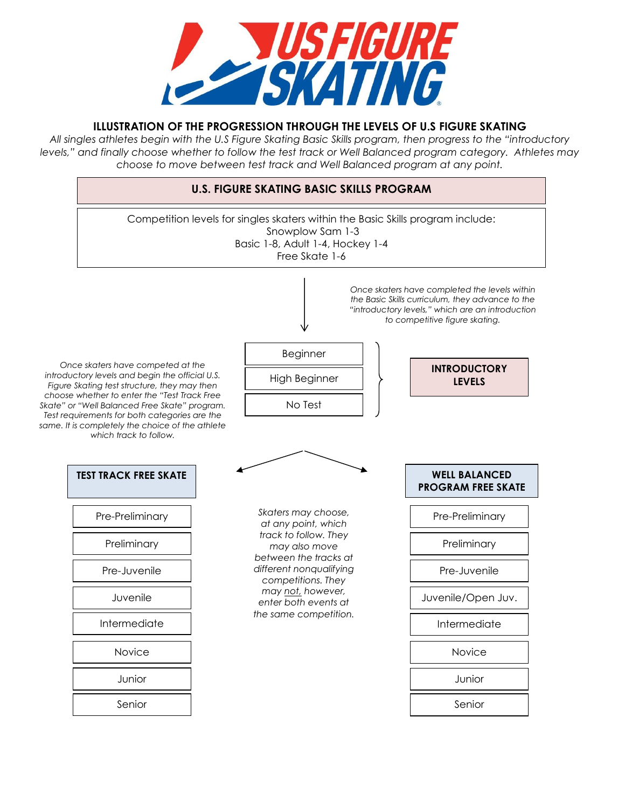

# **ILLUSTRATION OF THE PROGRESSION THROUGH THE LEVELS OF U.S FIGURE SKATING**

*All singles athletes begin with the U.S Figure Skating Basic Skills program, then progress to the "introductory levels," and finally choose whether to follow the test track or Well Balanced program category. Athletes may choose to move between test track and Well Balanced program at any point.* 

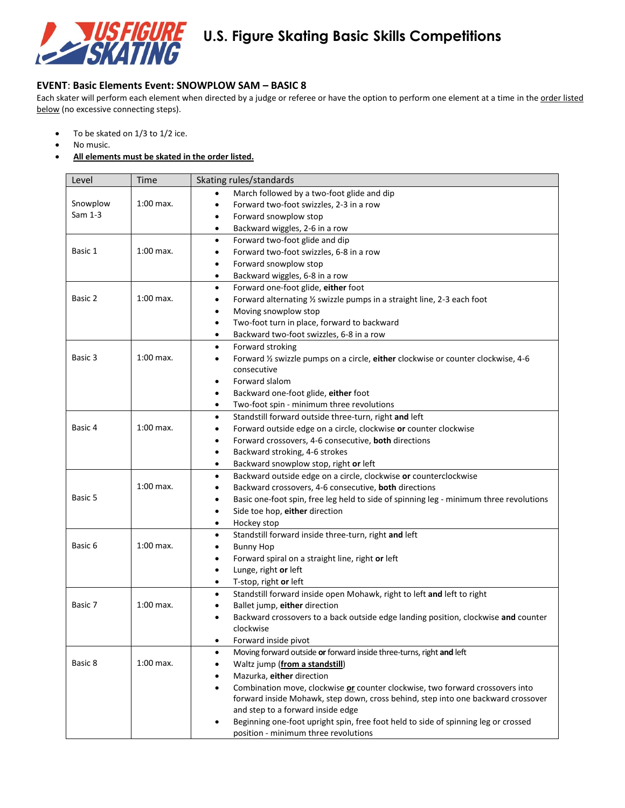

#### **EVENT**: **Basic Elements Event: SNOWPLOW SAM – BASIC 8**

Each skater will perform each element when directed by a judge or referee or have the option to perform one element at a time in the order listed below (no excessive connecting steps).

- To be skated on 1/3 to 1/2 ice.
- No music.
- **All elements must be skated in the order listed.**

| Level    | Time                                                      | Skating rules/standards                                                                             |  |  |
|----------|-----------------------------------------------------------|-----------------------------------------------------------------------------------------------------|--|--|
|          |                                                           | March followed by a two-foot glide and dip                                                          |  |  |
| Snowplow | $1:00$ max.                                               | Forward two-foot swizzles, 2-3 in a row<br>$\bullet$                                                |  |  |
| Sam 1-3  |                                                           | Forward snowplow stop<br>٠                                                                          |  |  |
|          |                                                           | Backward wiggles, 2-6 in a row<br>$\bullet$                                                         |  |  |
|          |                                                           | Forward two-foot glide and dip<br>$\bullet$                                                         |  |  |
| Basic 1  | $1:00$ max.                                               | Forward two-foot swizzles, 6-8 in a row<br>٠                                                        |  |  |
|          |                                                           | Forward snowplow stop<br>$\bullet$                                                                  |  |  |
|          |                                                           | Backward wiggles, 6-8 in a row<br>$\bullet$                                                         |  |  |
|          |                                                           | Forward one-foot glide, either foot<br>$\bullet$                                                    |  |  |
| Basic 2  | $1:00$ max.                                               | Forward alternating 1/2 swizzle pumps in a straight line, 2-3 each foot<br>٠                        |  |  |
|          |                                                           | Moving snowplow stop<br>$\bullet$                                                                   |  |  |
|          |                                                           | Two-foot turn in place, forward to backward<br>$\bullet$                                            |  |  |
|          |                                                           | Backward two-foot swizzles, 6-8 in a row<br>$\bullet$                                               |  |  |
|          |                                                           | Forward stroking<br>$\bullet$                                                                       |  |  |
| Basic 3  | $1:00$ max.                                               | Forward 1/2 swizzle pumps on a circle, either clockwise or counter clockwise, 4-6<br>$\bullet$      |  |  |
|          |                                                           | consecutive                                                                                         |  |  |
|          |                                                           | Forward slalom<br>٠                                                                                 |  |  |
|          |                                                           | Backward one-foot glide, either foot<br>$\bullet$                                                   |  |  |
|          |                                                           | Two-foot spin - minimum three revolutions<br>$\bullet$                                              |  |  |
|          |                                                           | Standstill forward outside three-turn, right and left<br>$\bullet$                                  |  |  |
| Basic 4  | $1:00$ max.                                               | Forward outside edge on a circle, clockwise or counter clockwise<br>٠                               |  |  |
|          | Forward crossovers, 4-6 consecutive, both directions<br>٠ |                                                                                                     |  |  |
|          |                                                           | Backward stroking, 4-6 strokes<br>$\bullet$                                                         |  |  |
|          |                                                           | Backward snowplow stop, right or left<br>٠                                                          |  |  |
|          |                                                           | Backward outside edge on a circle, clockwise or counterclockwise<br>$\bullet$                       |  |  |
|          | 1:00 max.                                                 | Backward crossovers, 4-6 consecutive, both directions<br>٠                                          |  |  |
| Basic 5  |                                                           | Basic one-foot spin, free leg held to side of spinning leg - minimum three revolutions<br>$\bullet$ |  |  |
|          |                                                           | Side toe hop, either direction<br>$\bullet$                                                         |  |  |
|          |                                                           | Hockey stop<br>$\bullet$                                                                            |  |  |
|          |                                                           | Standstill forward inside three-turn, right and left<br>$\bullet$                                   |  |  |
| Basic 6  | $1:00$ max.                                               | <b>Bunny Hop</b><br>٠                                                                               |  |  |
|          |                                                           | Forward spiral on a straight line, right or left<br>$\bullet$                                       |  |  |
|          |                                                           | Lunge, right or left<br>$\bullet$                                                                   |  |  |
|          |                                                           | T-stop, right or left<br>$\bullet$                                                                  |  |  |
|          |                                                           | Standstill forward inside open Mohawk, right to left and left to right<br>$\bullet$                 |  |  |
| Basic 7  | $1:00$ max.                                               | Ballet jump, either direction<br>٠                                                                  |  |  |
|          |                                                           | Backward crossovers to a back outside edge landing position, clockwise and counter<br>$\bullet$     |  |  |
|          |                                                           | clockwise                                                                                           |  |  |
|          |                                                           | Forward inside pivot<br>$\bullet$                                                                   |  |  |
|          |                                                           | Moving forward outside or forward inside three-turns, right and left<br>$\bullet$                   |  |  |
| Basic 8  | $1:00$ max.                                               | Waltz jump (from a standstill)<br>$\bullet$                                                         |  |  |
|          |                                                           | Mazurka, either direction<br>٠                                                                      |  |  |
|          |                                                           | Combination move, clockwise or counter clockwise, two forward crossovers into<br>$\bullet$          |  |  |
|          |                                                           | forward inside Mohawk, step down, cross behind, step into one backward crossover                    |  |  |
|          |                                                           | and step to a forward inside edge                                                                   |  |  |
|          |                                                           | Beginning one-foot upright spin, free foot held to side of spinning leg or crossed                  |  |  |
|          |                                                           | position - minimum three revolutions                                                                |  |  |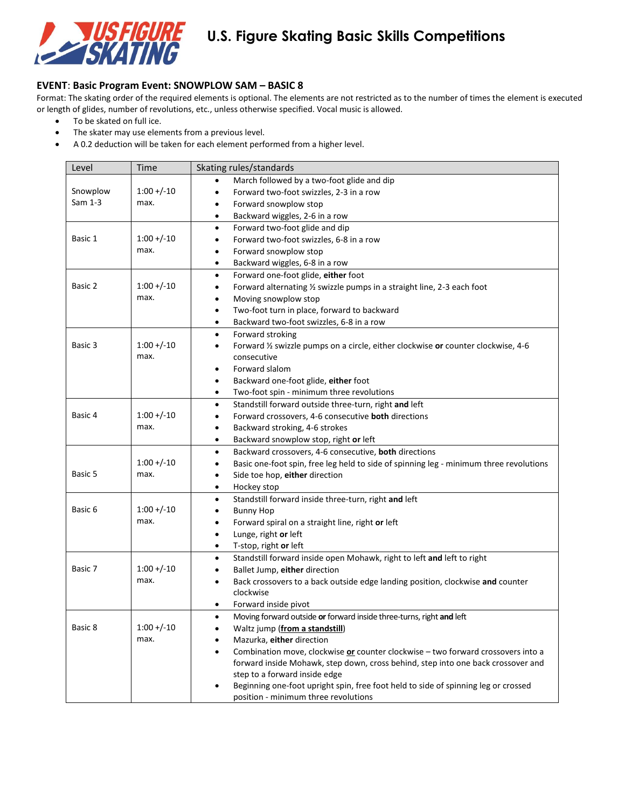

#### **EVENT**: **Basic Program Event: SNOWPLOW SAM – BASIC 8**

Format: The skating order of the required elements is optional. The elements are not restricted as to the number of times the element is executed or length of glides, number of revolutions, etc., unless otherwise specified. Vocal music is allowed.

- To be skated on full ice.
- The skater may use elements from a previous level.
- A 0.2 deduction will be taken for each element performed from a higher level.

| March followed by a two-foot glide and dip<br>$\bullet$<br>$1:00 + (-10)$<br>Snowplow<br>Forward two-foot swizzles, 2-3 in a row<br>$\bullet$<br>Sam 1-3<br>max.<br>Forward snowplow stop<br>٠<br>Backward wiggles, 2-6 in a row<br>$\bullet$<br>Forward two-foot glide and dip<br>$\bullet$<br>$1:00 + (-10)$<br>Basic 1<br>Forward two-foot swizzles, 6-8 in a row<br>$\bullet$<br>max.<br>Forward snowplow stop<br>$\bullet$<br>Backward wiggles, 6-8 in a row<br>$\bullet$<br>Forward one-foot glide, either foot<br>$\bullet$<br>$1:00 + (-10)$<br>Basic 2<br>Forward alternating 1/2 swizzle pumps in a straight line, 2-3 each foot<br>$\bullet$<br>max.<br>Moving snowplow stop<br>$\bullet$<br>Two-foot turn in place, forward to backward<br>$\bullet$<br>Backward two-foot swizzles, 6-8 in a row<br>$\bullet$<br>Forward stroking<br>$\bullet$<br>Basic 3<br>$1:00 + (-10)$<br>Forward 1/2 swizzle pumps on a circle, either clockwise or counter clockwise, 4-6<br>$\bullet$<br>max.<br>consecutive |
|------------------------------------------------------------------------------------------------------------------------------------------------------------------------------------------------------------------------------------------------------------------------------------------------------------------------------------------------------------------------------------------------------------------------------------------------------------------------------------------------------------------------------------------------------------------------------------------------------------------------------------------------------------------------------------------------------------------------------------------------------------------------------------------------------------------------------------------------------------------------------------------------------------------------------------------------------------------------------------------------------------------|
|                                                                                                                                                                                                                                                                                                                                                                                                                                                                                                                                                                                                                                                                                                                                                                                                                                                                                                                                                                                                                  |
|                                                                                                                                                                                                                                                                                                                                                                                                                                                                                                                                                                                                                                                                                                                                                                                                                                                                                                                                                                                                                  |
|                                                                                                                                                                                                                                                                                                                                                                                                                                                                                                                                                                                                                                                                                                                                                                                                                                                                                                                                                                                                                  |
|                                                                                                                                                                                                                                                                                                                                                                                                                                                                                                                                                                                                                                                                                                                                                                                                                                                                                                                                                                                                                  |
|                                                                                                                                                                                                                                                                                                                                                                                                                                                                                                                                                                                                                                                                                                                                                                                                                                                                                                                                                                                                                  |
|                                                                                                                                                                                                                                                                                                                                                                                                                                                                                                                                                                                                                                                                                                                                                                                                                                                                                                                                                                                                                  |
|                                                                                                                                                                                                                                                                                                                                                                                                                                                                                                                                                                                                                                                                                                                                                                                                                                                                                                                                                                                                                  |
|                                                                                                                                                                                                                                                                                                                                                                                                                                                                                                                                                                                                                                                                                                                                                                                                                                                                                                                                                                                                                  |
|                                                                                                                                                                                                                                                                                                                                                                                                                                                                                                                                                                                                                                                                                                                                                                                                                                                                                                                                                                                                                  |
|                                                                                                                                                                                                                                                                                                                                                                                                                                                                                                                                                                                                                                                                                                                                                                                                                                                                                                                                                                                                                  |
|                                                                                                                                                                                                                                                                                                                                                                                                                                                                                                                                                                                                                                                                                                                                                                                                                                                                                                                                                                                                                  |
|                                                                                                                                                                                                                                                                                                                                                                                                                                                                                                                                                                                                                                                                                                                                                                                                                                                                                                                                                                                                                  |
|                                                                                                                                                                                                                                                                                                                                                                                                                                                                                                                                                                                                                                                                                                                                                                                                                                                                                                                                                                                                                  |
|                                                                                                                                                                                                                                                                                                                                                                                                                                                                                                                                                                                                                                                                                                                                                                                                                                                                                                                                                                                                                  |
|                                                                                                                                                                                                                                                                                                                                                                                                                                                                                                                                                                                                                                                                                                                                                                                                                                                                                                                                                                                                                  |
|                                                                                                                                                                                                                                                                                                                                                                                                                                                                                                                                                                                                                                                                                                                                                                                                                                                                                                                                                                                                                  |
| Forward slalom<br>$\bullet$                                                                                                                                                                                                                                                                                                                                                                                                                                                                                                                                                                                                                                                                                                                                                                                                                                                                                                                                                                                      |
| Backward one-foot glide, either foot<br>$\bullet$                                                                                                                                                                                                                                                                                                                                                                                                                                                                                                                                                                                                                                                                                                                                                                                                                                                                                                                                                                |
| Two-foot spin - minimum three revolutions<br>$\bullet$                                                                                                                                                                                                                                                                                                                                                                                                                                                                                                                                                                                                                                                                                                                                                                                                                                                                                                                                                           |
| Standstill forward outside three-turn, right and left<br>$\bullet$                                                                                                                                                                                                                                                                                                                                                                                                                                                                                                                                                                                                                                                                                                                                                                                                                                                                                                                                               |
| $1:00 + (-10)$<br>Basic 4<br>Forward crossovers, 4-6 consecutive both directions<br>$\bullet$                                                                                                                                                                                                                                                                                                                                                                                                                                                                                                                                                                                                                                                                                                                                                                                                                                                                                                                    |
| max.<br>Backward stroking, 4-6 strokes<br>$\bullet$                                                                                                                                                                                                                                                                                                                                                                                                                                                                                                                                                                                                                                                                                                                                                                                                                                                                                                                                                              |
| Backward snowplow stop, right or left<br>$\bullet$                                                                                                                                                                                                                                                                                                                                                                                                                                                                                                                                                                                                                                                                                                                                                                                                                                                                                                                                                               |
| Backward crossovers, 4-6 consecutive, both directions<br>$\bullet$                                                                                                                                                                                                                                                                                                                                                                                                                                                                                                                                                                                                                                                                                                                                                                                                                                                                                                                                               |
| $1:00 + (-10)$<br>Basic one-foot spin, free leg held to side of spinning leg - minimum three revolutions<br>$\bullet$                                                                                                                                                                                                                                                                                                                                                                                                                                                                                                                                                                                                                                                                                                                                                                                                                                                                                            |
| Basic 5<br>max.<br>Side toe hop, either direction<br>$\bullet$                                                                                                                                                                                                                                                                                                                                                                                                                                                                                                                                                                                                                                                                                                                                                                                                                                                                                                                                                   |
| Hockey stop<br>$\bullet$                                                                                                                                                                                                                                                                                                                                                                                                                                                                                                                                                                                                                                                                                                                                                                                                                                                                                                                                                                                         |
| Standstill forward inside three-turn, right and left<br>$\bullet$                                                                                                                                                                                                                                                                                                                                                                                                                                                                                                                                                                                                                                                                                                                                                                                                                                                                                                                                                |
| $1:00 + (-10)$<br>Basic 6<br><b>Bunny Hop</b><br>$\bullet$                                                                                                                                                                                                                                                                                                                                                                                                                                                                                                                                                                                                                                                                                                                                                                                                                                                                                                                                                       |
| max.<br>Forward spiral on a straight line, right or left<br>٠                                                                                                                                                                                                                                                                                                                                                                                                                                                                                                                                                                                                                                                                                                                                                                                                                                                                                                                                                    |
| Lunge, right or left<br>$\bullet$                                                                                                                                                                                                                                                                                                                                                                                                                                                                                                                                                                                                                                                                                                                                                                                                                                                                                                                                                                                |
| T-stop, right or left<br>$\bullet$                                                                                                                                                                                                                                                                                                                                                                                                                                                                                                                                                                                                                                                                                                                                                                                                                                                                                                                                                                               |
| Standstill forward inside open Mohawk, right to left and left to right<br>$\bullet$                                                                                                                                                                                                                                                                                                                                                                                                                                                                                                                                                                                                                                                                                                                                                                                                                                                                                                                              |
| $1:00 + (-10)$<br>Basic 7<br>Ballet Jump, either direction<br>$\bullet$                                                                                                                                                                                                                                                                                                                                                                                                                                                                                                                                                                                                                                                                                                                                                                                                                                                                                                                                          |
| max.<br>Back crossovers to a back outside edge landing position, clockwise and counter<br>$\bullet$                                                                                                                                                                                                                                                                                                                                                                                                                                                                                                                                                                                                                                                                                                                                                                                                                                                                                                              |
| clockwise                                                                                                                                                                                                                                                                                                                                                                                                                                                                                                                                                                                                                                                                                                                                                                                                                                                                                                                                                                                                        |
| Forward inside pivot<br>$\bullet$                                                                                                                                                                                                                                                                                                                                                                                                                                                                                                                                                                                                                                                                                                                                                                                                                                                                                                                                                                                |
| Moving forward outside or forward inside three-turns, right and left                                                                                                                                                                                                                                                                                                                                                                                                                                                                                                                                                                                                                                                                                                                                                                                                                                                                                                                                             |
| $1:00 + (-10)$<br>Basic 8<br>Waltz jump (from a standstill)<br>$\bullet$                                                                                                                                                                                                                                                                                                                                                                                                                                                                                                                                                                                                                                                                                                                                                                                                                                                                                                                                         |
| max.<br>Mazurka, either direction                                                                                                                                                                                                                                                                                                                                                                                                                                                                                                                                                                                                                                                                                                                                                                                                                                                                                                                                                                                |
| Combination move, clockwise or counter clockwise - two forward crossovers into a<br>$\bullet$                                                                                                                                                                                                                                                                                                                                                                                                                                                                                                                                                                                                                                                                                                                                                                                                                                                                                                                    |
| forward inside Mohawk, step down, cross behind, step into one back crossover and                                                                                                                                                                                                                                                                                                                                                                                                                                                                                                                                                                                                                                                                                                                                                                                                                                                                                                                                 |
| step to a forward inside edge                                                                                                                                                                                                                                                                                                                                                                                                                                                                                                                                                                                                                                                                                                                                                                                                                                                                                                                                                                                    |
| Beginning one-foot upright spin, free foot held to side of spinning leg or crossed<br>$\bullet$<br>position - minimum three revolutions                                                                                                                                                                                                                                                                                                                                                                                                                                                                                                                                                                                                                                                                                                                                                                                                                                                                          |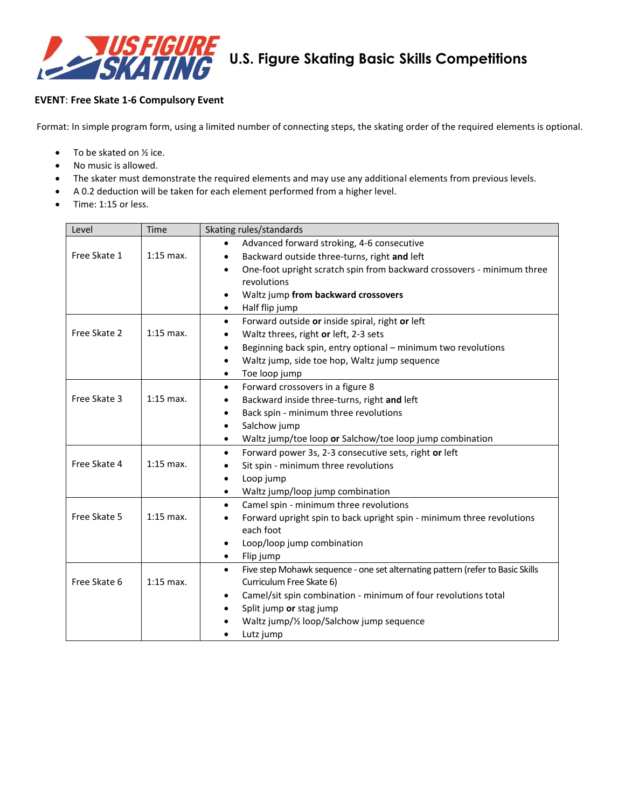

### **EVENT**: **Free Skate 1-6 Compulsory Event**

Format: In simple program form, using a limited number of connecting steps, the skating order of the required elements is optional.

- $\bullet$  To be skated on  $\frac{1}{2}$  ice.
- No music is allowed.
- The skater must demonstrate the required elements and may use any additional elements from previous levels.
- A 0.2 deduction will be taken for each element performed from a higher level.
- Time: 1:15 or less.

| Level        | Time        | Skating rules/standards                                                                     |  |  |
|--------------|-------------|---------------------------------------------------------------------------------------------|--|--|
|              |             | Advanced forward stroking, 4-6 consecutive<br>$\bullet$                                     |  |  |
| Free Skate 1 | $1:15$ max. | Backward outside three-turns, right and left<br>$\bullet$                                   |  |  |
|              |             | One-foot upright scratch spin from backward crossovers - minimum three<br>$\bullet$         |  |  |
|              |             | revolutions                                                                                 |  |  |
|              |             | Waltz jump from backward crossovers<br>$\bullet$                                            |  |  |
|              |             | Half flip jump<br>$\bullet$                                                                 |  |  |
|              |             | Forward outside or inside spiral, right or left<br>$\bullet$                                |  |  |
| Free Skate 2 | $1:15$ max. | Waltz threes, right or left, 2-3 sets<br>$\bullet$                                          |  |  |
|              |             | Beginning back spin, entry optional - minimum two revolutions<br>$\bullet$                  |  |  |
|              |             | Waltz jump, side toe hop, Waltz jump sequence<br>$\bullet$                                  |  |  |
|              |             | Toe loop jump<br>$\bullet$                                                                  |  |  |
|              |             | Forward crossovers in a figure 8<br>$\bullet$                                               |  |  |
| Free Skate 3 | $1:15$ max. | Backward inside three-turns, right and left<br>٠                                            |  |  |
|              |             | Back spin - minimum three revolutions<br>$\bullet$                                          |  |  |
|              |             | Salchow jump<br>$\bullet$                                                                   |  |  |
|              |             | Waltz jump/toe loop or Salchow/toe loop jump combination<br>$\bullet$                       |  |  |
|              |             | Forward power 3s, 2-3 consecutive sets, right or left<br>$\bullet$                          |  |  |
| Free Skate 4 | $1:15$ max. | Sit spin - minimum three revolutions                                                        |  |  |
|              |             | Loop jump<br>$\bullet$                                                                      |  |  |
|              |             | Waltz jump/loop jump combination<br>$\bullet$                                               |  |  |
|              |             | Camel spin - minimum three revolutions<br>$\bullet$                                         |  |  |
| Free Skate 5 | $1:15$ max. | Forward upright spin to back upright spin - minimum three revolutions                       |  |  |
|              |             | each foot                                                                                   |  |  |
|              |             | Loop/loop jump combination<br>$\bullet$                                                     |  |  |
|              |             | Flip jump<br>$\bullet$                                                                      |  |  |
|              |             | Five step Mohawk sequence - one set alternating pattern (refer to Basic Skills<br>$\bullet$ |  |  |
| Free Skate 6 | $1:15$ max. | Curriculum Free Skate 6)                                                                    |  |  |
|              |             | Camel/sit spin combination - minimum of four revolutions total<br>٠                         |  |  |
|              |             | Split jump or stag jump<br>$\bullet$                                                        |  |  |
|              |             | Waltz jump/1/2 loop/Salchow jump sequence                                                   |  |  |
|              |             | Lutz jump                                                                                   |  |  |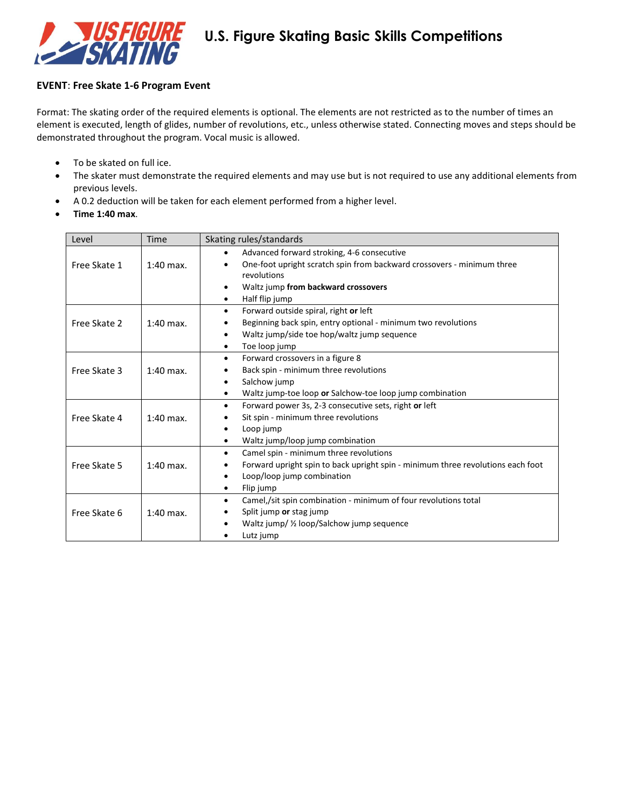

#### **EVENT**: **Free Skate 1-6 Program Event**

Format: The skating order of the required elements is optional. The elements are not restricted as to the number of times an element is executed, length of glides, number of revolutions, etc., unless otherwise stated. Connecting moves and steps should be demonstrated throughout the program. Vocal music is allowed.

- To be skated on full ice.
- The skater must demonstrate the required elements and may use but is not required to use any additional elements from previous levels.
- A 0.2 deduction will be taken for each element performed from a higher level.
- **Time 1:40 max**.

| Level        | <b>Time</b> | Skating rules/standards                                                                                                                                                                                                     |  |  |  |
|--------------|-------------|-----------------------------------------------------------------------------------------------------------------------------------------------------------------------------------------------------------------------------|--|--|--|
| Free Skate 1 | $1:40$ max. | Advanced forward stroking, 4-6 consecutive<br>$\bullet$<br>One-foot upright scratch spin from backward crossovers - minimum three<br>$\bullet$<br>revolutions<br>Waltz jump from backward crossovers<br>Half flip jump<br>٠ |  |  |  |
| Free Skate 2 | $1:40$ max. | Forward outside spiral, right or left<br>$\bullet$<br>Beginning back spin, entry optional - minimum two revolutions<br>Waltz jump/side toe hop/waltz jump sequence<br>$\bullet$<br>Toe loop jump                            |  |  |  |
| Free Skate 3 | $1:40$ max. | Forward crossovers in a figure 8<br>$\bullet$<br>Back spin - minimum three revolutions<br>Salchow jump<br>Waltz jump-toe loop or Salchow-toe loop jump combination                                                          |  |  |  |
| Free Skate 4 | $1:40$ max. | Forward power 3s, 2-3 consecutive sets, right or left<br>$\bullet$<br>Sit spin - minimum three revolutions<br>Loop jump<br>٠<br>Waltz jump/loop jump combination                                                            |  |  |  |
| Free Skate 5 | $1:40$ max. | Camel spin - minimum three revolutions<br>$\bullet$<br>Forward upright spin to back upright spin - minimum three revolutions each foot<br>Loop/loop jump combination<br>Flip jump<br>$\bullet$                              |  |  |  |
| Free Skate 6 | $1:40$ max. | Camel,/sit spin combination - minimum of four revolutions total<br>$\bullet$<br>Split jump or stag jump<br>Waltz jump/ 1/2 loop/Salchow jump sequence<br>Lutz jump                                                          |  |  |  |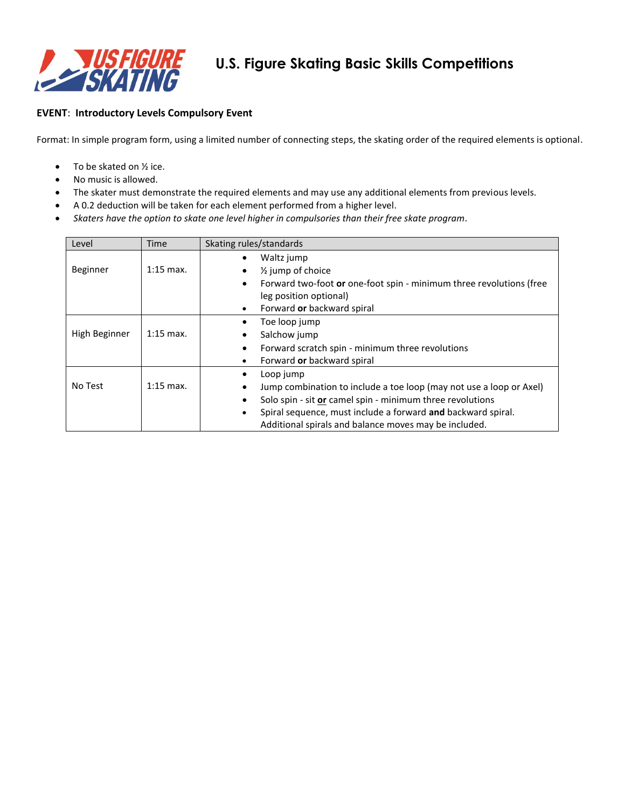

### **EVENT**: **Introductory Levels Compulsory Event**

Format: In simple program form, using a limited number of connecting steps, the skating order of the required elements is optional.

- $\bullet$  To be skated on  $\frac{1}{2}$  ice.
- No music is allowed.
- The skater must demonstrate the required elements and may use any additional elements from previous levels.
- A 0.2 deduction will be taken for each element performed from a higher level.
- *Skaters have the option to skate one level higher in compulsories than their free skate program.*

| Level         | Time        | Skating rules/standards                                                          |  |  |  |
|---------------|-------------|----------------------------------------------------------------------------------|--|--|--|
|               |             | Waltz jump                                                                       |  |  |  |
| Beginner      | $1:15$ max. | $\frac{1}{2}$ jump of choice<br>٠                                                |  |  |  |
|               |             | Forward two-foot or one-foot spin - minimum three revolutions (free<br>$\bullet$ |  |  |  |
|               |             | leg position optional)                                                           |  |  |  |
|               |             | Forward or backward spiral<br>٠                                                  |  |  |  |
|               |             | Toe loop jump                                                                    |  |  |  |
| High Beginner | $1:15$ max. | Salchow jump                                                                     |  |  |  |
|               |             | Forward scratch spin - minimum three revolutions<br>٠                            |  |  |  |
|               |             | Forward or backward spiral<br>٠                                                  |  |  |  |
|               |             | Loop jump<br>٠                                                                   |  |  |  |
| No Test       | $1:15$ max. | Jump combination to include a toe loop (may not use a loop or Axel)<br>$\bullet$ |  |  |  |
|               |             | Solo spin - sit or camel spin - minimum three revolutions<br>٠                   |  |  |  |
|               |             | Spiral sequence, must include a forward and backward spiral.<br>$\bullet$        |  |  |  |
|               |             | Additional spirals and balance moves may be included.                            |  |  |  |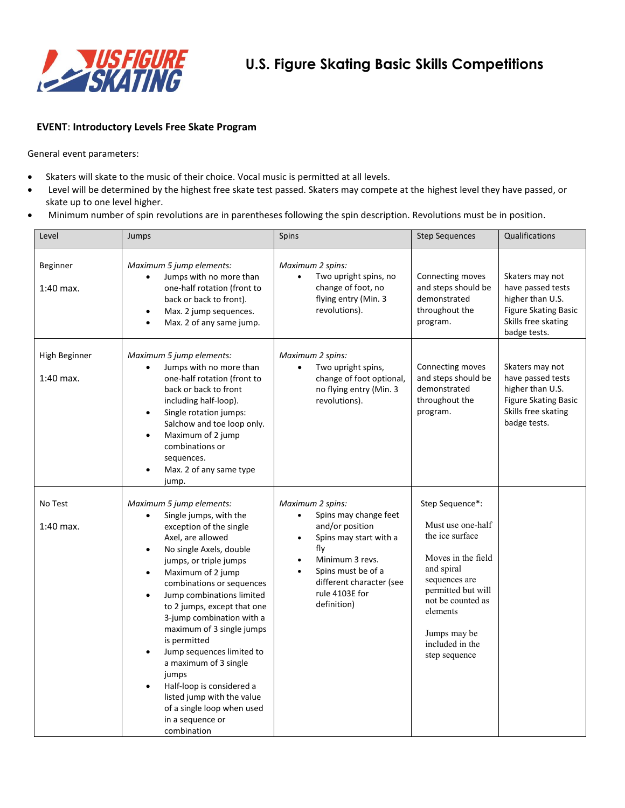

#### **EVENT**: **Introductory Levels Free Skate Program**

- Skaters will skate to the music of their choice. Vocal music is permitted at all levels.
- Level will be determined by the highest free skate test passed. Skaters may compete at the highest level they have passed, or skate up to one level higher.
- Minimum number of spin revolutions are in parentheses following the spin description. Revolutions must be in position.

| Level                        | Jumps                                                                                                                                                                                                                                                                                                                                                                                                                                                                                                                                                                                                       | Spins                                                                                                                                                                                               | <b>Step Sequences</b>                                                                                                                                                                                                   | Qualifications                                                                                                                 |
|------------------------------|-------------------------------------------------------------------------------------------------------------------------------------------------------------------------------------------------------------------------------------------------------------------------------------------------------------------------------------------------------------------------------------------------------------------------------------------------------------------------------------------------------------------------------------------------------------------------------------------------------------|-----------------------------------------------------------------------------------------------------------------------------------------------------------------------------------------------------|-------------------------------------------------------------------------------------------------------------------------------------------------------------------------------------------------------------------------|--------------------------------------------------------------------------------------------------------------------------------|
| Beginner<br>$1:40$ max.      | Maximum 5 jump elements:<br>Jumps with no more than<br>one-half rotation (front to<br>back or back to front).<br>Max. 2 jump sequences.<br>$\bullet$<br>Max. 2 of any same jump.                                                                                                                                                                                                                                                                                                                                                                                                                            | Maximum 2 spins:<br>Two upright spins, no<br>$\bullet$<br>change of foot, no<br>flying entry (Min. 3<br>revolutions).                                                                               | Connecting moves<br>and steps should be<br>demonstrated<br>throughout the<br>program.                                                                                                                                   | Skaters may not<br>have passed tests<br>higher than U.S.<br><b>Figure Skating Basic</b><br>Skills free skating<br>badge tests. |
| High Beginner<br>$1:40$ max. | Maximum 5 jump elements:<br>Jumps with no more than<br>$\bullet$<br>one-half rotation (front to<br>back or back to front<br>including half-loop).<br>Single rotation jumps:<br>$\bullet$<br>Salchow and toe loop only.<br>Maximum of 2 jump<br>$\bullet$<br>combinations or<br>sequences.<br>Max. 2 of any same type<br>jump.                                                                                                                                                                                                                                                                               | Maximum 2 spins:<br>Two upright spins,<br>$\bullet$<br>change of foot optional,<br>no flying entry (Min. 3<br>revolutions).                                                                         | Connecting moves<br>and steps should be<br>demonstrated<br>throughout the<br>program.                                                                                                                                   | Skaters may not<br>have passed tests<br>higher than U.S.<br><b>Figure Skating Basic</b><br>Skills free skating<br>badge tests. |
| No Test<br>$1:40$ max.       | Maximum 5 jump elements:<br>Single jumps, with the<br>$\bullet$<br>exception of the single<br>Axel, are allowed<br>No single Axels, double<br>$\bullet$<br>jumps, or triple jumps<br>Maximum of 2 jump<br>$\bullet$<br>combinations or sequences<br>Jump combinations limited<br>$\bullet$<br>to 2 jumps, except that one<br>3-jump combination with a<br>maximum of 3 single jumps<br>is permitted<br>Jump sequences limited to<br>a maximum of 3 single<br>jumps<br>Half-loop is considered a<br>$\bullet$<br>listed jump with the value<br>of a single loop when used<br>in a sequence or<br>combination | Maximum 2 spins:<br>Spins may change feet<br>and/or position<br>Spins may start with a<br>fly<br>Minimum 3 revs.<br>Spins must be of a<br>different character (see<br>rule 4103E for<br>definition) | Step Sequence*:<br>Must use one-half<br>the ice surface<br>Moves in the field<br>and spiral<br>sequences are<br>permitted but will<br>not be counted as<br>elements<br>Jumps may be<br>included in the<br>step sequence |                                                                                                                                |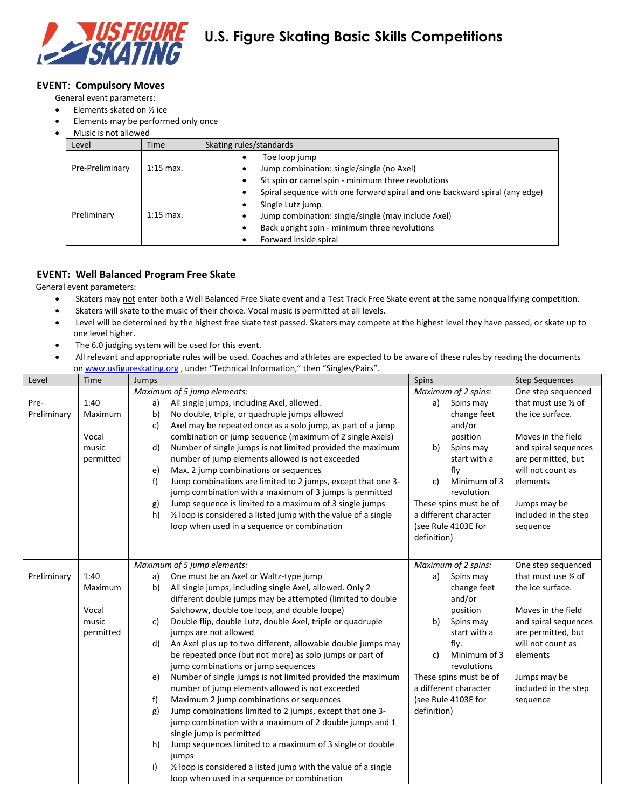

#### **EVENT**: **Compulsory Moves**

- General event parameters:
- $\bullet$  Elements skated on  $\frac{1}{2}$  ice
- Elements may be performed only once
- Music is not allowed

| Level           | <b>Time</b> | Skating rules/standards                                                    |  |  |
|-----------------|-------------|----------------------------------------------------------------------------|--|--|
|                 |             | Toe loop jump                                                              |  |  |
| Pre-Preliminary | $1:15$ max. | Jump combination: single/single (no Axel)                                  |  |  |
|                 |             | Sit spin or camel spin - minimum three revolutions                         |  |  |
|                 |             | Spiral sequence with one forward spiral and one backward spiral (any edge) |  |  |
|                 |             | Single Lutz jump                                                           |  |  |
| Preliminary     | $1:15$ max. | Jump combination: single/single (may include Axel)                         |  |  |
|                 |             | Back upright spin - minimum three revolutions                              |  |  |
|                 |             | Forward inside spiral                                                      |  |  |

# **EVENT: Well Balanced Program Free Skate**

- Skaters may not enter both a Well Balanced Free Skate event and a Test Track Free Skate event at the same nonqualifying competition.
- Skaters will skate to the music of their choice. Vocal music is permitted at all levels.
- Level will be determined by the highest free skate test passed. Skaters may compete at the highest level they have passed, or skate up to one level higher.
- The 6.0 judging system will be used for this event.
- All relevant and appropriate rules will be used. Coaches and athletes are expected to be aware of these rules by reading the documents o[n www.usfigureskating.org](http://www.usfigureskating.org/) , under "Technical Information," then "Singles/Pairs".

| Level       | Time      | on www.ashgarcskating.org , under rechnical information, their singles/r ans .<br>Jumps                 | Spins                             | <b>Step Sequences</b> |
|-------------|-----------|---------------------------------------------------------------------------------------------------------|-----------------------------------|-----------------------|
|             |           | Maximum of 5 jump elements:                                                                             | Maximum of 2 spins:               | One step sequenced    |
| Pre-        | 1:40      | All single jumps, including Axel, allowed.<br>a)                                                        | Spins may<br>a)                   | that must use 1/2 of  |
| Preliminary | Maximum   | b)<br>No double, triple, or quadruple jumps allowed                                                     | change feet                       | the ice surface.      |
|             |           | Axel may be repeated once as a solo jump, as part of a jump<br>c)                                       | and/or                            |                       |
|             | Vocal     | combination or jump sequence (maximum of 2 single Axels)                                                | position                          | Moves in the field    |
|             | music     | d)<br>Number of single jumps is not limited provided the maximum                                        | b)<br>Spins may                   | and spiral sequences  |
|             | permitted | number of jump elements allowed is not exceeded                                                         | start with a                      | are permitted, but    |
|             |           | Max. 2 jump combinations or sequences<br>e)                                                             | fly                               | will not count as     |
|             |           | f)<br>Jump combinations are limited to 2 jumps, except that one 3-                                      | Minimum of 3<br>c)                | elements              |
|             |           | jump combination with a maximum of 3 jumps is permitted                                                 | revolution                        |                       |
|             |           | Jump sequence is limited to a maximum of 3 single jumps<br>g)                                           | These spins must be of            | Jumps may be          |
|             |           | $\frac{1}{2}$ loop is considered a listed jump with the value of a single<br>h)                         | a different character             | included in the step  |
|             |           | loop when used in a sequence or combination                                                             | (see Rule 4103E for               | sequence              |
|             |           |                                                                                                         | definition)                       |                       |
|             |           |                                                                                                         |                                   |                       |
|             |           | Maximum of 5 jump elements:                                                                             | Maximum of 2 spins:               | One step sequenced    |
| Preliminary | 1:40      | One must be an Axel or Waltz-type jump<br>a)                                                            | Spins may<br>a)                   | that must use 1/2 of  |
|             | Maximum   | All single jumps, including single Axel, allowed. Only 2<br>b)                                          | change feet                       | the ice surface.      |
|             |           | different double jumps may be attempted (limited to double                                              | and/or                            |                       |
|             | Vocal     | Salchoww, double toe loop, and double loope)                                                            | position                          | Moves in the field    |
|             | music     | Double flip, double Lutz, double Axel, triple or quadruple<br>c)                                        | Spins may<br>b)                   | and spiral sequences  |
|             | permitted | jumps are not allowed                                                                                   | start with a                      | are permitted, but    |
|             |           | An Axel plus up to two different, allowable double jumps may<br>d)                                      | fly.                              | will not count as     |
|             |           | be repeated once (but not more) as solo jumps or part of                                                | Minimum of 3<br>c)<br>revolutions | elements              |
|             |           | jump combinations or jump sequences<br>Number of single jumps is not limited provided the maximum<br>e) | These spins must be of            | Jumps may be          |
|             |           | number of jump elements allowed is not exceeded                                                         | a different character             | included in the step  |
|             |           | Maximum 2 jump combinations or sequences<br>f)                                                          | (see Rule 4103E for               | sequence              |
|             |           | Jump combinations limited to 2 jumps, except that one 3-<br>g)                                          | definition)                       |                       |
|             |           | jump combination with a maximum of 2 double jumps and 1                                                 |                                   |                       |
|             |           | single jump is permitted                                                                                |                                   |                       |
|             |           | Jump sequences limited to a maximum of 3 single or double<br>h)                                         |                                   |                       |
|             |           | jumps                                                                                                   |                                   |                       |
|             |           | 1/2 loop is considered a listed jump with the value of a single<br>i)                                   |                                   |                       |
|             |           | loop when used in a sequence or combination                                                             |                                   |                       |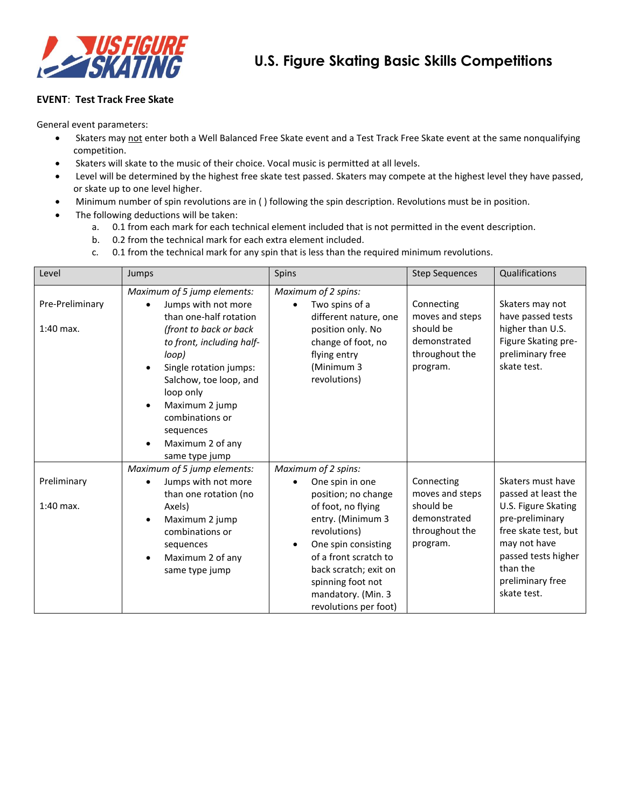

#### **EVENT**: **Test Track Free Skate**

- Skaters may not enter both a Well Balanced Free Skate event and a Test Track Free Skate event at the same nonqualifying competition.
- Skaters will skate to the music of their choice. Vocal music is permitted at all levels.
- Level will be determined by the highest free skate test passed. Skaters may compete at the highest level they have passed, or skate up to one level higher.
- Minimum number of spin revolutions are in ( ) following the spin description. Revolutions must be in position.
- The following deductions will be taken:
	- a. 0.1 from each mark for each technical element included that is not permitted in the event description.
	- b. 0.2 from the technical mark for each extra element included.
	- c. 0.1 from the technical mark for any spin that is less than the required minimum revolutions.

| Level                          | Jumps                                                                                                                                                                                                                                                                                                              | Spins                                                                                                                                                                                                                                                                              | <b>Step Sequences</b>                                                                    | Qualifications                                                                                                                                                                                   |
|--------------------------------|--------------------------------------------------------------------------------------------------------------------------------------------------------------------------------------------------------------------------------------------------------------------------------------------------------------------|------------------------------------------------------------------------------------------------------------------------------------------------------------------------------------------------------------------------------------------------------------------------------------|------------------------------------------------------------------------------------------|--------------------------------------------------------------------------------------------------------------------------------------------------------------------------------------------------|
| Pre-Preliminary<br>$1:40$ max. | Maximum of 5 jump elements:<br>Jumps with not more<br>than one-half rotation<br>(front to back or back<br>to front, including half-<br>loop)<br>Single rotation jumps:<br>Salchow, toe loop, and<br>loop only<br>Maximum 2 jump<br>combinations or<br>sequences<br>Maximum 2 of any<br>$\bullet$<br>same type jump | Maximum of 2 spins:<br>Two spins of a<br>different nature, one<br>position only. No<br>change of foot, no<br>flying entry<br>(Minimum 3<br>revolutions)                                                                                                                            | Connecting<br>moves and steps<br>should be<br>demonstrated<br>throughout the<br>program. | Skaters may not<br>have passed tests<br>higher than U.S.<br>Figure Skating pre-<br>preliminary free<br>skate test.                                                                               |
| Preliminary<br>$1:40$ max.     | Maximum of 5 jump elements:<br>Jumps with not more<br>than one rotation (no<br>Axels)<br>Maximum 2 jump<br>combinations or<br>sequences<br>Maximum 2 of any<br>same type jump                                                                                                                                      | Maximum of 2 spins:<br>One spin in one<br>position; no change<br>of foot, no flying<br>entry. (Minimum 3<br>revolutions)<br>One spin consisting<br>$\bullet$<br>of a front scratch to<br>back scratch; exit on<br>spinning foot not<br>mandatory. (Min. 3<br>revolutions per foot) | Connecting<br>moves and steps<br>should be<br>demonstrated<br>throughout the<br>program. | Skaters must have<br>passed at least the<br>U.S. Figure Skating<br>pre-preliminary<br>free skate test, but<br>may not have<br>passed tests higher<br>than the<br>preliminary free<br>skate test. |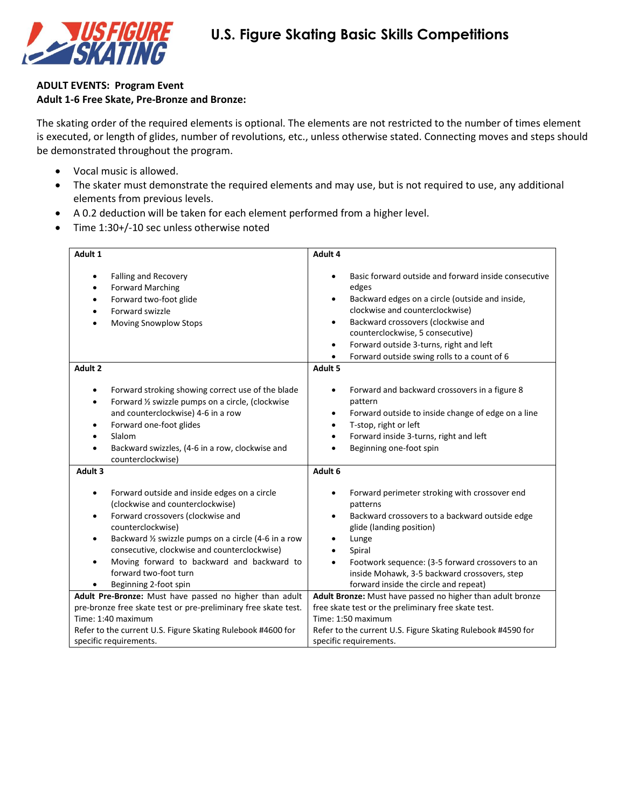

## **ADULT EVENTS: Program Event Adult 1-6 Free Skate, Pre-Bronze and Bronze:**

The skating order of the required elements is optional. The elements are not restricted to the number of times element is executed, or length of glides, number of revolutions, etc., unless otherwise stated. Connecting moves and steps should be demonstrated throughout the program.

- Vocal music is allowed.
- The skater must demonstrate the required elements and may use, but is not required to use, any additional elements from previous levels.
- A 0.2 deduction will be taken for each element performed from a higher level.
- Time 1:30+/-10 sec unless otherwise noted

| Adult 1                                                                                                                                                                                                                                                                                                                                                                                                | Adult 4                                                                                                                                                                                                                                                                                                                                                                                  |
|--------------------------------------------------------------------------------------------------------------------------------------------------------------------------------------------------------------------------------------------------------------------------------------------------------------------------------------------------------------------------------------------------------|------------------------------------------------------------------------------------------------------------------------------------------------------------------------------------------------------------------------------------------------------------------------------------------------------------------------------------------------------------------------------------------|
| <b>Falling and Recovery</b><br>$\bullet$<br><b>Forward Marching</b><br>$\bullet$<br>Forward two-foot glide<br>$\bullet$<br>Forward swizzle<br>Moving Snowplow Stops<br>$\bullet$                                                                                                                                                                                                                       | Basic forward outside and forward inside consecutive<br>$\bullet$<br>edges<br>Backward edges on a circle (outside and inside,<br>$\bullet$<br>clockwise and counterclockwise)<br>Backward crossovers (clockwise and<br>$\bullet$<br>counterclockwise, 5 consecutive)<br>Forward outside 3-turns, right and left<br>$\bullet$<br>Forward outside swing rolls to a count of 6<br>$\bullet$ |
| Adult 2                                                                                                                                                                                                                                                                                                                                                                                                | Adult 5                                                                                                                                                                                                                                                                                                                                                                                  |
| Forward stroking showing correct use of the blade<br>$\bullet$<br>Forward 1/2 swizzle pumps on a circle, (clockwise<br>$\bullet$<br>and counterclockwise) 4-6 in a row<br>Forward one-foot glides<br>$\bullet$<br>Slalom<br>$\bullet$<br>Backward swizzles, (4-6 in a row, clockwise and<br>counterclockwise)                                                                                          | Forward and backward crossovers in a figure 8<br>$\bullet$<br>pattern<br>Forward outside to inside change of edge on a line<br>$\bullet$<br>T-stop, right or left<br>$\bullet$<br>Forward inside 3-turns, right and left<br>$\bullet$<br>Beginning one-foot spin                                                                                                                         |
| Adult <sub>3</sub>                                                                                                                                                                                                                                                                                                                                                                                     | Adult 6                                                                                                                                                                                                                                                                                                                                                                                  |
| Forward outside and inside edges on a circle<br>$\bullet$<br>(clockwise and counterclockwise)<br>Forward crossovers (clockwise and<br>$\bullet$<br>counterclockwise)<br>Backward 1/2 swizzle pumps on a circle (4-6 in a row<br>$\bullet$<br>consecutive, clockwise and counterclockwise)<br>Moving forward to backward and backward to<br>$\bullet$<br>forward two-foot turn<br>Beginning 2-foot spin | Forward perimeter stroking with crossover end<br>$\bullet$<br>patterns<br>Backward crossovers to a backward outside edge<br>$\bullet$<br>glide (landing position)<br>Lunge<br>Spiral<br>$\bullet$<br>Footwork sequence: (3-5 forward crossovers to an<br>$\bullet$<br>inside Mohawk, 3-5 backward crossovers, step<br>forward inside the circle and repeat)                              |
| Adult Pre-Bronze: Must have passed no higher than adult                                                                                                                                                                                                                                                                                                                                                | Adult Bronze: Must have passed no higher than adult bronze                                                                                                                                                                                                                                                                                                                               |
| pre-bronze free skate test or pre-preliminary free skate test.                                                                                                                                                                                                                                                                                                                                         | free skate test or the preliminary free skate test.                                                                                                                                                                                                                                                                                                                                      |
| Time: 1:40 maximum                                                                                                                                                                                                                                                                                                                                                                                     | Time: 1:50 maximum                                                                                                                                                                                                                                                                                                                                                                       |
| Refer to the current U.S. Figure Skating Rulebook #4600 for<br>specific requirements.                                                                                                                                                                                                                                                                                                                  | Refer to the current U.S. Figure Skating Rulebook #4590 for<br>specific requirements.                                                                                                                                                                                                                                                                                                    |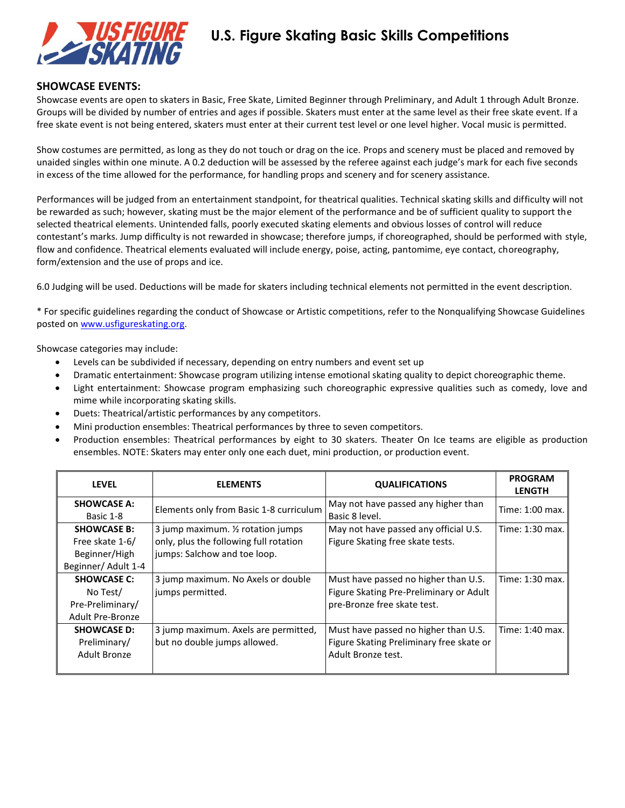

#### **SHOWCASE EVENTS:**

Showcase events are open to skaters in Basic, Free Skate, Limited Beginner through Preliminary, and Adult 1 through Adult Bronze. Groups will be divided by number of entries and ages if possible. Skaters must enter at the same level as their free skate event. If a free skate event is not being entered, skaters must enter at their current test level or one level higher. Vocal music is permitted.

Show costumes are permitted, as long as they do not touch or drag on the ice. Props and scenery must be placed and removed by unaided singles within one minute. A 0.2 deduction will be assessed by the referee against each judge's mark for each five seconds in excess of the time allowed for the performance, for handling props and scenery and for scenery assistance.

Performances will be judged from an entertainment standpoint, for theatrical qualities. Technical skating skills and difficulty will not be rewarded as such; however, skating must be the major element of the performance and be of sufficient quality to support the selected theatrical elements. Unintended falls, poorly executed skating elements and obvious losses of control will reduce contestant's marks. Jump difficulty is not rewarded in showcase; therefore jumps, if choreographed, should be performed with style, flow and confidence. Theatrical elements evaluated will include energy, poise, acting, pantomime, eye contact, choreography, form/extension and the use of props and ice.

6.0 Judging will be used. Deductions will be made for skaters including technical elements not permitted in the event description.

\* For specific guidelines regarding the conduct of Showcase or Artistic competitions, refer to the Nonqualifying Showcase Guidelines posted on [www.usfigureskating.org.](http://www.usfigureskating.org/)

Showcase categories may include:

- Levels can be subdivided if necessary, depending on entry numbers and event set up
- Dramatic entertainment: Showcase program utilizing intense emotional skating quality to depict choreographic theme.
- Light entertainment: Showcase program emphasizing such choreographic expressive qualities such as comedy, love and mime while incorporating skating skills.
- Duets: Theatrical/artistic performances by any competitors.
- Mini production ensembles: Theatrical performances by three to seven competitors.
- Production ensembles: Theatrical performances by eight to 30 skaters. Theater On Ice teams are eligible as production ensembles. NOTE: Skaters may enter only one each duet, mini production, or production event.

| <b>LEVEL</b>                                                                  | <b>ELEMENTS</b>                                                                                              | <b>QUALIFICATIONS</b>                                                                                          | <b>PROGRAM</b><br><b>LENGTH</b> |
|-------------------------------------------------------------------------------|--------------------------------------------------------------------------------------------------------------|----------------------------------------------------------------------------------------------------------------|---------------------------------|
| <b>SHOWCASE A:</b><br>Basic 1-8                                               | Elements only from Basic 1-8 curriculum                                                                      | May not have passed any higher than<br>Basic 8 level.                                                          | Time: 1:00 max.                 |
| <b>SHOWCASE B:</b><br>Free skate 1-6/<br>Beginner/High<br>Beginner/ Adult 1-4 | 3 jump maximum. 1/2 rotation jumps<br>only, plus the following full rotation<br>jumps: Salchow and toe loop. | May not have passed any official U.S.<br>Figure Skating free skate tests.                                      | Time: 1:30 max.                 |
| <b>SHOWCASE C:</b><br>No Test/<br>Pre-Preliminary/<br>Adult Pre-Bronze        | 3 jump maximum. No Axels or double<br>jumps permitted.                                                       | Must have passed no higher than U.S.<br>Figure Skating Pre-Preliminary or Adult<br>pre-Bronze free skate test. | Time: 1:30 max.                 |
| <b>SHOWCASE D:</b><br>Preliminary/<br>Adult Bronze                            | 3 jump maximum. Axels are permitted,<br>but no double jumps allowed.                                         | Must have passed no higher than U.S.<br>Figure Skating Preliminary free skate or<br>Adult Bronze test.         | Time: 1:40 max.                 |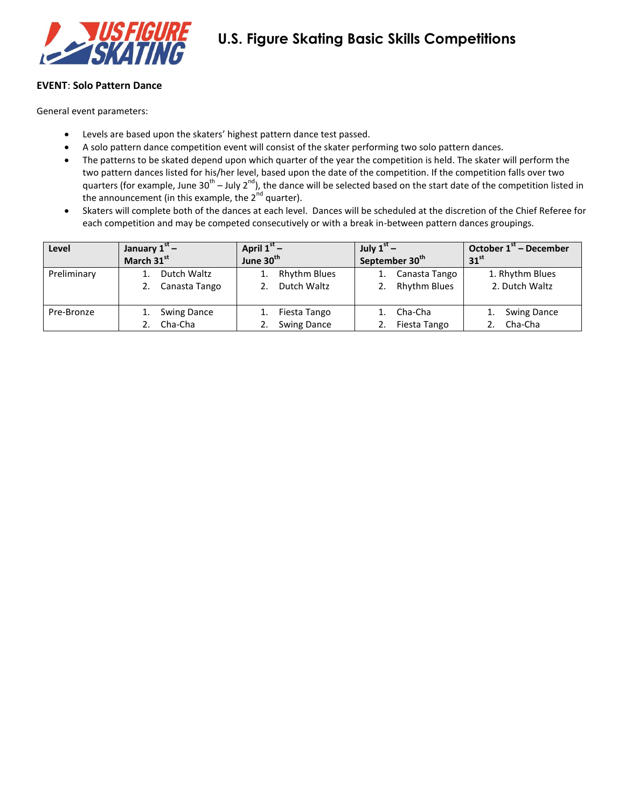

### **EVENT**: **Solo Pattern Dance**

- Levels are based upon the skaters' highest pattern dance test passed.
- A solo pattern dance competition event will consist of the skater performing two solo pattern dances.
- The patterns to be skated depend upon which quarter of the year the competition is held. The skater will perform the two pattern dances listed for his/her level, based upon the date of the competition. If the competition falls over two quarters (for example, June 30<sup>th</sup> – July 2<sup>nd</sup>), the dance will be selected based on the start date of the competition listed in the announcement (in this example, the  $2<sup>nd</sup>$  quarter).
- Skaters will complete both of the dances at each level. Dances will be scheduled at the discretion of the Chief Referee for each competition and may be competed consecutively or with a break in-between pattern dances groupings.

| Level       | January $1st$ –    | April $1^{st}$ –      | July $1^{st}$ –            | October $1st$ – December |
|-------------|--------------------|-----------------------|----------------------------|--------------------------|
|             | March 31st         | June 30 <sup>th</sup> | September 30 <sup>th</sup> | 31 <sup>st</sup>         |
| Preliminary | Dutch Waltz        | <b>Rhythm Blues</b>   | Canasta Tango              | 1. Rhythm Blues          |
|             | Canasta Tango      | Dutch Waltz           | 2. Rhythm Blues            | 2. Dutch Waltz           |
|             |                    |                       |                            |                          |
| Pre-Bronze  | <b>Swing Dance</b> | Fiesta Tango          | Cha-Cha                    | <b>Swing Dance</b>       |
|             | Cha-Cha            | <b>Swing Dance</b>    | Fiesta Tango               | Cha-Cha                  |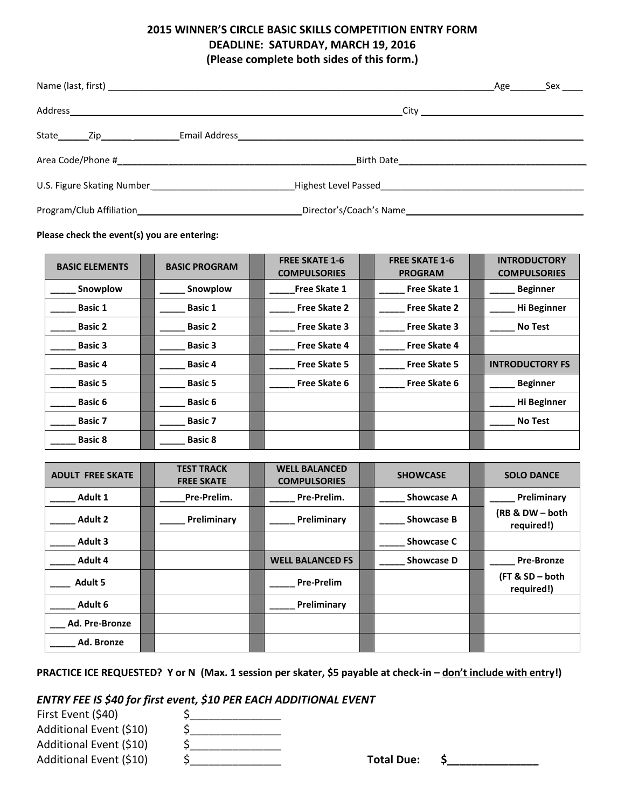# **2015 WINNER'S CIRCLE BASIC SKILLS COMPETITION ENTRY FORM DEADLINE: SATURDAY, MARCH 19, 2016 (Please complete both sides of this form.)**

|                                              |                         | _Age____________Sex ______ |
|----------------------------------------------|-------------------------|----------------------------|
|                                              |                         |                            |
|                                              |                         |                            |
|                                              |                         |                            |
| U.S. Figure Skating Number <b>Example 20</b> |                         |                            |
|                                              | Director's/Coach's Name |                            |

**Please check the event(s) you are entering:**

| <b>BASIC ELEMENTS</b> | <b>BASIC PROGRAM</b> | <b>FREE SKATE 1-6</b><br><b>COMPULSORIES</b> | <b>FREE SKATE 1-6</b><br><b>PROGRAM</b> | <b>INTRODUCTORY</b><br><b>COMPULSORIES</b> |
|-----------------------|----------------------|----------------------------------------------|-----------------------------------------|--------------------------------------------|
| Snowplow              | Snowplow             | Free Skate 1                                 | <b>Free Skate 1</b>                     | Beginner                                   |
| <b>Basic 1</b>        | <b>Basic 1</b>       | <b>Free Skate 2</b>                          | <b>Free Skate 2</b>                     | Hi Beginner                                |
| <b>Basic 2</b>        | <b>Basic 2</b>       | <b>Free Skate 3</b>                          | <b>Free Skate 3</b>                     | <b>No Test</b>                             |
| <b>Basic 3</b>        | <b>Basic 3</b>       | <b>Free Skate 4</b>                          | <b>Free Skate 4</b>                     |                                            |
| <b>Basic 4</b>        | <b>Basic 4</b>       | <b>Free Skate 5</b>                          | <b>Free Skate 5</b>                     | <b>INTRODUCTORY FS</b>                     |
| <b>Basic 5</b>        | <b>Basic 5</b>       | Free Skate 6                                 | Free Skate 6                            | <b>Beginner</b>                            |
| <b>Basic 6</b>        | <b>Basic 6</b>       |                                              |                                         | Hi Beginner                                |
| <b>Basic 7</b>        | <b>Basic 7</b>       |                                              |                                         | <b>No Test</b>                             |
| <b>Basic 8</b>        | <b>Basic 8</b>       |                                              |                                         |                                            |

| <b>ADULT FREE SKATE</b> | <b>TEST TRACK</b><br><b>FREE SKATE</b> | <b>WELL BALANCED</b><br><b>COMPULSORIES</b> | <b>SHOWCASE</b>   | <b>SOLO DANCE</b>             |
|-------------------------|----------------------------------------|---------------------------------------------|-------------------|-------------------------------|
| Adult 1                 | Pre-Prelim.                            | Pre-Prelim.                                 | <b>Showcase A</b> | Preliminary                   |
| <b>Adult 2</b>          | Preliminary                            | Preliminary                                 | <b>Showcase B</b> | (RB & DW - both<br>required!) |
| <b>Adult 3</b>          |                                        |                                             | <b>Showcase C</b> |                               |
| Adult 4                 |                                        | <b>WELL BALANCED FS</b>                     | <b>Showcase D</b> | <b>Pre-Bronze</b>             |
| <b>Adult 5</b>          |                                        | <b>Pre-Prelim</b>                           |                   | (FT & SD - both<br>required!) |
| Adult 6                 |                                        | Preliminary                                 |                   |                               |
| Ad. Pre-Bronze          |                                        |                                             |                   |                               |
| Ad. Bronze              |                                        |                                             |                   |                               |

**PRACTICE ICE REQUESTED? Y or N (Max. 1 session per skater, \$5 payable at check-in – don't include with entry!)**

# *ENTRY FEE IS \$40 for first event, \$10 PER EACH ADDITIONAL EVENT*

| First Event (\$40)      |  |
|-------------------------|--|
| Additional Event (\$10) |  |
| Additional Event (\$10) |  |
| Additional Event (\$10) |  |

Total Due: \$\_\_\_\_\_\_\_\_\_\_\_\_\_\_\_\_\_